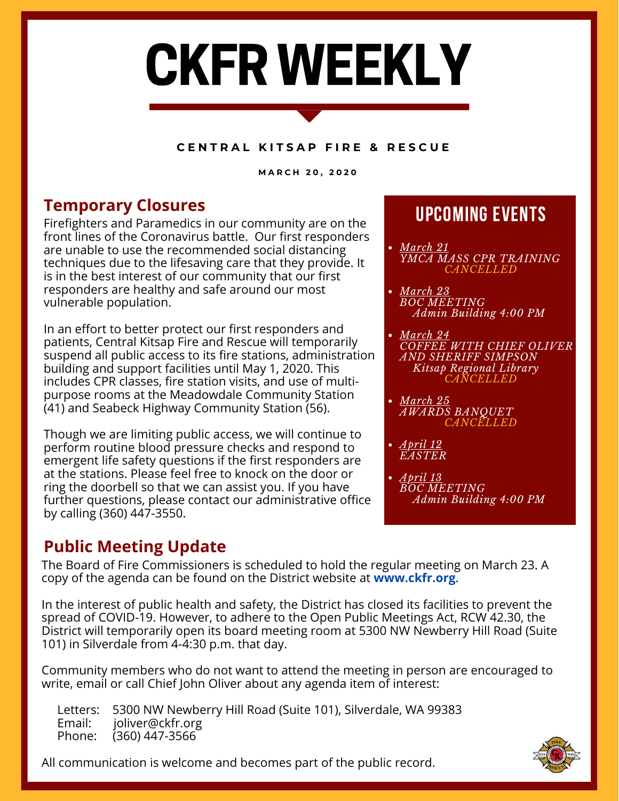# CKFR WEEKLY

### **C E N T R A L K I T S A P F I R E & R E S C U E**

**M A R C H 2 0 , 2 0 2 0**

# **Temporary Closures Temporary Closures**

Firefighters and Paramedics in our community are on the front lines of the Coronavirus battle. Our first responders are unable to use the recommended social distancing techniques due to the lifesaving care that they provide. It is in the best interest of our community that our first responders are healthy and safe around our most vulnerable population.

In an effort to better protect our first responders and patients, Central Kitsap Fire and Rescue will temporarily suspend all public access to its fire stations, administration building and support facilities until May 1, 2020. This includes CPR classes, fire station visits, and use of multipurpose rooms at the Meadowdale Community Station (41) and Seabeck Highway Community Station (56).

Though we are limiting public access, we will continue to perform routine blood pressure checks and respond to emergent life safety questions if the first responders are at the stations. Please feel free to knock on the door or ring the doorbell so that we can assist you. If you have further questions, please contact our administrative office by calling (360) 447-3550.

## **Public Meeting Update**

- *March 21 YMCA MASS CPR TRAINING CANCELLED*
- *March 23 BOC MEETING Admin Building 4:00 PM*
- *March 24 COFFEE WITH CHIEF OLIVER AND SHERIFF SIMPSON Kitsap Regional Library CANCELLED*
- *March 25 AWARDS BANQUET CANCELLED*
- *April 12 EASTER*
- *April 13 BOC MEETING Admin Building 4:00 PM*

The Board of Fire Commissioners is scheduled to hold the regular meeting on March 23. A copy of the agenda can be found on the District website at **[www.ckfr.org](https://www.ckfr.org/)**.

In the interest of public health and safety, the District has closed its facilities to prevent the spread of COVID-19. However, to adhere to the Open Public Meetings Act, RCW 42.30, the District will temporarily open its board meeting room at 5300 NW Newberry Hill Road (Suite 101) in Silverdale from 4-4:30 p.m. that day.

Community members who do not want to attend the meeting in person are encouraged to write, email or call Chief John Oliver about any agenda item of interest:

Letters: 5300 NW Newberry Hill Road (Suite 101), Silverdale, WA 99383<br>Email: ioliver@ckfr.org joliver@ckfr.org Phone: (360) 447-3566

All communication is welcome and becomes part of the public record.

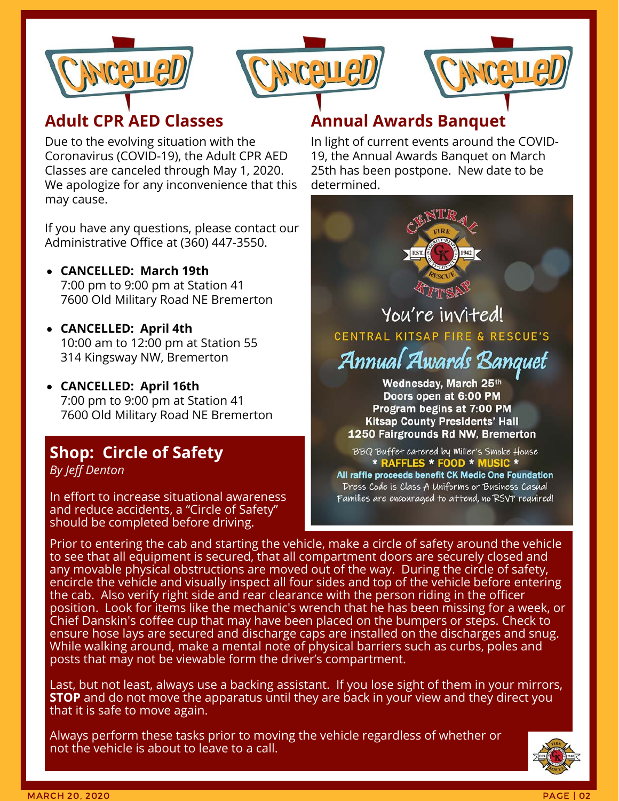





### **Adult CPR AED Classes**

Due to the evolving situation with the Coronavirus (COVID-19), the Adult CPR AED Classes are canceled through May 1, 2020. We apologize for any inconvenience that this may cause.

If you have any questions, please contact our Administrative Office at (360) 447-3550.

- **CANCELLED: March 19th** 7:00 pm to 9:00 pm at Station 41 7600 Old Military Road NE Bremerton
- **CANCELLED: April 4th** 10:00 am to 12:00 pm at Station 55 314 Kingsway NW, Bremerton
- **CANCELLED: April 16th** 7:00 pm to 9:00 pm at Station 41 7600 Old Military Road NE Bremerton

### **Shop: Circle of Safety** *By Jeff Denton*

In effort to increase situational awareness and reduce accidents, a "Circle of Safety" should be completed before driving.

### **Annual Awards Banquet**

In light of current events around the COVID-19, the Annual Awards Banquet on March 25th has been postpone. New date to be determined.



Annual Awards Banquet Wednesday, March 25th Doors open at 6:00 PM Program begins at 7:00 PM **Kitsap County Presidents' Hall** 1250 Fairgrounds Rd NW, Bremerton

BBQ Buffet catered by Miller's Smoke House \* RAFFLES \* FOOD \* MUSIC \* All raffle proceeds benefit CK Medic One Foundation Dress Code is Class A Uniforms or Business Casual Families are encouraged to attend, no RSVP required!

Prior to entering the cab and starting the vehicle, make a circle of safety around the vehicle to see that all equipment is secured, that all compartment doors are securely closed and any movable physical obstructions are moved out of the way. During the circle of safety, encircle the vehicle and visually inspect all four sides and top of the vehicle before entering the cab. Also verify right side and rear clearance with the person riding in the officer position. Look for items like the mechanic's wrench that he has been missing for a week, or Chief Danskin's coffee cup that may have been placed on the bumpers or steps. Check to ensure hose lays are secured and discharge caps are installed on the discharges and snug. While walking around, make a mental note of physical barriers such as curbs, poles and posts that may not be viewable form the driver's compartment.

Last, but not least, always use a backing assistant. If you lose sight of them in your mirrors, **STOP** and do not move the apparatus until they are back in your view and they direct you that it is safe to move again.

Always perform these tasks prior to moving the vehicle regardless of whether or not the vehicle is about to leave to a call.